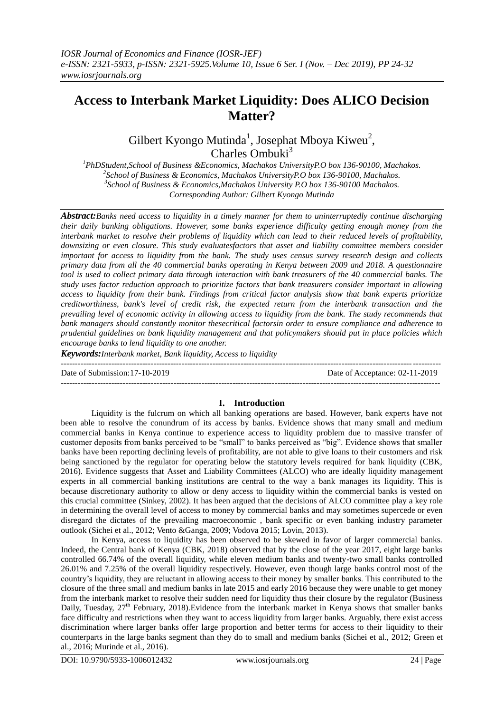# **Access to Interbank Market Liquidity: Does ALICO Decision Matter?**

Gilbert Kyongo Mutinda<sup>1</sup>, Josephat Mboya Kiweu<sup>2</sup>, Charles Ombuki $3$ 

*PhDStudent,School of Business &Economics, Machakos UniversityP.O box 136-90100, Machakos. School of Business & Economics, Machakos UniversityP.O box 136-90100, Machakos. School of Business & Economics,Machakos University P.O box 136-90100 Machakos. Corresponding Author: Gilbert Kyongo Mutinda*

*Abstract:Banks need access to liquidity in a timely manner for them to uninterruptedly continue discharging their daily banking obligations. However, some banks experience difficulty getting enough money from the interbank market to resolve their problems of liquidity which can lead to their reduced levels of profitability, downsizing or even closure. This study evaluatesfactors that asset and liability committee members consider important for access to liquidity from the bank. The study uses census survey research design and collects primary data from all the 40 commercial banks operating in Kenya between 2009 and 2018. A questionnaire tool is used to collect primary data through interaction with bank treasurers of the 40 commercial banks. The study uses factor reduction approach to prioritize factors that bank treasurers consider important in allowing access to liquidity from their bank. Findings from critical factor analysis show that bank experts prioritize creditworthiness, bank's level of credit risk, the expected return from the interbank transaction and the prevailing level of economic activity in allowing access to liquidity from the bank. The study recommends that bank managers should constantly monitor thesecritical factorsin order to ensure compliance and adherence to prudential guidelines on bank liquidity management and that policymakers should put in place policies which encourage banks to lend liquidity to one another.*

*Keywords:Interbank market, Bank liquidity, Access to liquidity*

Date of Submission:17-10-2019 Date of Acceptance: 02-11-2019

# **I. Introduction**

---------------------------------------------------------------------------------------------------------------------------------------

---------------------------------------------------------------------------------------------------------------------------------------

Liquidity is the fulcrum on which all banking operations are based. However, bank experts have not been able to resolve the conundrum of its access by banks. Evidence shows that many small and medium commercial banks in Kenya continue to experience access to liquidity problem due to massive transfer of customer deposits from banks perceived to be "small" to banks perceived as "big". Evidence shows that smaller banks have been reporting declining levels of profitability, are not able to give loans to their customers and risk being sanctioned by the regulator for operating below the statutory levels required for bank liquidity (CBK, 2016). Evidence suggests that Asset and Liability Committees (ALCO) who are ideally liquidity management experts in all commercial banking institutions are central to the way a bank manages its liquidity. This is because discretionary authority to allow or deny access to liquidity within the commercial banks is vested on this crucial committee (Sinkey, 2002). It has been argued that the decisions of ALCO committee play a key role in determining the overall level of access to money by commercial banks and may sometimes supercede or even disregard the dictates of the prevailing macroeconomic , bank specific or even banking industry parameter outlook (Sichei et al., 2012; Vento &Ganga, 2009; Vodova 2015; Lovin, 2013).

In Kenya, access to liquidity has been observed to be skewed in favor of larger commercial banks. Indeed, the Central bank of Kenya (CBK, 2018) observed that by the close of the year 2017, eight large banks controlled 66.74% of the overall liquidity, while eleven medium banks and twenty-two small banks controlled 26.01% and 7.25% of the overall liquidity respectively. However, even though large banks control most of the country's liquidity, they are reluctant in allowing access to their money by smaller banks. This contributed to the closure of the three small and medium banks in late 2015 and early 2016 because they were unable to get money from the interbank market to resolve their sudden need for liquidity thus their closure by the regulator (Business Daily, Tuesday,  $27<sup>th</sup>$  February, 2018). Evidence from the interbank market in Kenya shows that smaller banks face difficulty and restrictions when they want to access liquidity from larger banks. Arguably, there exist access discrimination where larger banks offer large proportion and better terms for access to their liquidity to their counterparts in the large banks segment than they do to small and medium banks (Sichei et al., 2012; Green et al., 2016; Murinde et al., 2016).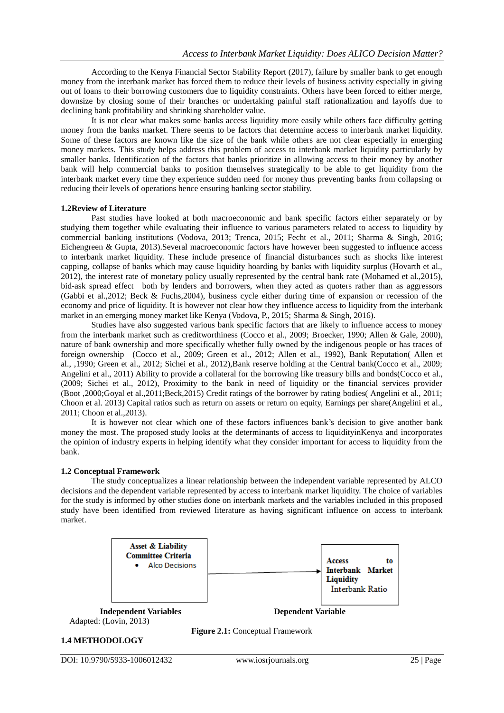According to the Kenya Financial Sector Stability Report (2017), failure by smaller bank to get enough money from the interbank market has forced them to reduce their levels of business activity especially in giving out of loans to their borrowing customers due to liquidity constraints. Others have been forced to either merge, downsize by closing some of their branches or undertaking painful staff rationalization and layoffs due to declining bank profitability and shrinking shareholder value.

It is not clear what makes some banks access liquidity more easily while others face difficulty getting money from the banks market. There seems to be factors that determine access to interbank market liquidity. Some of these factors are known like the size of the bank while others are not clear especially in emerging money markets. This study helps address this problem of access to interbank market liquidity particularly by smaller banks. Identification of the factors that banks prioritize in allowing access to their money by another bank will help commercial banks to position themselves strategically to be able to get liquidity from the interbank market every time they experience sudden need for money thus preventing banks from collapsing or reducing their levels of operations hence ensuring banking sector stability.

# **1.2Review of Literature**

Past studies have looked at both macroeconomic and bank specific factors either separately or by studying them together while evaluating their influence to various parameters related to access to liquidity by commercial banking institutions (Vodova, 2013; Trenca, 2015; Fecht et al., 2011; Sharma & Singh, 2016; Eichengreen & Gupta, 2013).Several macroeconomic factors have however been suggested to influence access to interbank market liquidity. These include presence of financial disturbances such as shocks like interest capping, collapse of banks which may cause liquidity hoarding by banks with liquidity surplus (Hovarth et al., 2012), the interest rate of monetary policy usually represented by the central bank rate (Mohamed et al.,2015), bid-ask spread effect both by lenders and borrowers, when they acted as quoters rather than as aggressors (Gabbi et al.,2012; Beck & Fuchs,2004), business cycle either during time of expansion or recession of the economy and price of liquidity. It is however not clear how they influence access to liquidity from the interbank market in an emerging money market like Kenya (Vodova, P., 2015; Sharma & Singh, 2016).

Studies have also suggested various bank specific factors that are likely to influence access to money from the interbank market such as creditworthiness (Cocco et al., 2009; Broecker, 1990; Allen & Gale, 2000), nature of bank ownership and more specifically whether fully owned by the indigenous people or has traces of foreign ownership (Cocco et al., 2009; Green et al., 2012; Allen et al., 1992), Bank Reputation( Allen et al., ,1990; Green et al., 2012; Sichei et al., 2012),Bank reserve holding at the Central bank(Cocco et al., 2009; Angelini et al., 2011) Ability to provide a collateral for the borrowing like treasury bills and bonds(Cocco et al., (2009; Sichei et al., 2012), Proximity to the bank in need of liquidity or the financial services provider (Boot ,2000;Goyal et al.,2011;Beck,2015) Credit ratings of the borrower by rating bodies( Angelini et al., 2011; Choon et al. 2013) Capital ratios such as return on assets or return on equity, Earnings per share(Angelini et al., 2011; Choon et al.,2013).

It is however not clear which one of these factors influences bank's decision to give another bank money the most. The proposed study looks at the determinants of access to liquidityinKenya and incorporates the opinion of industry experts in helping identify what they consider important for access to liquidity from the bank.

# **1.2 Conceptual Framework**

The study conceptualizes a linear relationship between the independent variable represented by ALCO decisions and the dependent variable represented by access to interbank market liquidity. The choice of variables for the study is informed by other studies done on interbank markets and the variables included in this proposed study have been identified from reviewed literature as having significant influence on access to interbank market.



**Figure 2.1:** Conceptual Framework

# **1.4 METHODOLOGY**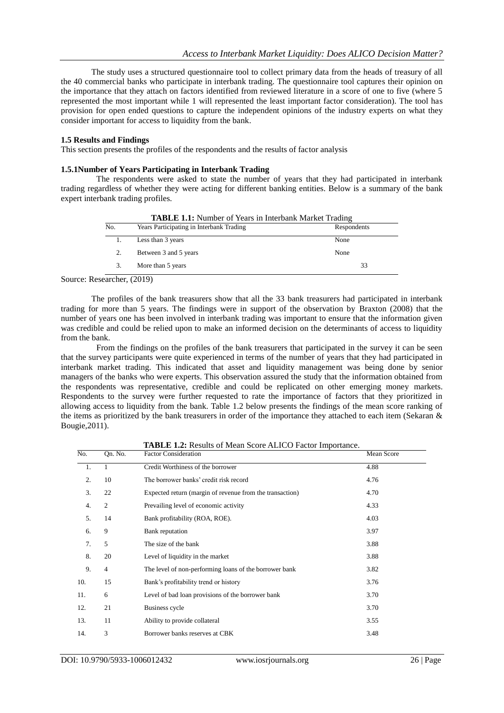The study uses a structured questionnaire tool to collect primary data from the heads of treasury of all the 40 commercial banks who participate in interbank trading. The questionnaire tool captures their opinion on the importance that they attach on factors identified from reviewed literature in a score of one to five (where 5 represented the most important while 1 will represented the least important factor consideration). The tool has provision for open ended questions to capture the independent opinions of the industry experts on what they consider important for access to liquidity from the bank.

# **1.5 Results and Findings**

This section presents the profiles of the respondents and the results of factor analysis

# **1.5.1Number of Years Participating in Interbank Trading**

The respondents were asked to state the number of years that they had participated in interbank trading regardless of whether they were acting for different banking entities. Below is a summary of the bank expert interbank trading profiles.

|     | <b>TADLE 1.1.</b> INDUCT OF TUAIS IN HILLOGILE IN A KULLER |             |
|-----|------------------------------------------------------------|-------------|
| No. | Years Participating in Interbank Trading                   | Respondents |
|     | Less than 3 years                                          | None        |
|     | Between 3 and 5 years                                      | None        |
|     | More than 5 years                                          | 33          |
|     |                                                            |             |

**TABLE 1.1:** Number of Years in Interbank Market Trading

Source: Researcher, (2019)

The profiles of the bank treasurers show that all the 33 bank treasurers had participated in interbank trading for more than 5 years. The findings were in support of the observation by Braxton (2008) that the number of years one has been involved in interbank trading was important to ensure that the information given was credible and could be relied upon to make an informed decision on the determinants of access to liquidity from the bank.

From the findings on the profiles of the bank treasurers that participated in the survey it can be seen that the survey participants were quite experienced in terms of the number of years that they had participated in interbank market trading. This indicated that asset and liquidity management was being done by senior managers of the banks who were experts. This observation assured the study that the information obtained from the respondents was representative, credible and could be replicated on other emerging money markets. Respondents to the survey were further requested to rate the importance of factors that they prioritized in allowing access to liquidity from the bank. Table 1.2 below presents the findings of the mean score ranking of the items as prioritized by the bank treasurers in order of the importance they attached to each item (Sekaran & Bougie,2011).

|     |                | <b>Trible 1.2.</b> Results of Mean Beore Alfred I actor importance. |            |
|-----|----------------|---------------------------------------------------------------------|------------|
| No. | On. No.        | <b>Factor Consideration</b>                                         | Mean Score |
| 1.  | 1              | Credit Worthiness of the borrower                                   | 4.88       |
| 2.  | 10             | The borrower banks' credit risk record                              | 4.76       |
| 3.  | 22             | Expected return (margin of revenue from the transaction)            | 4.70       |
| 4.  | $\overline{c}$ | Prevailing level of economic activity                               | 4.33       |
| 5.  | 14             | Bank profitability (ROA, ROE).                                      | 4.03       |
| 6.  | 9              | Bank reputation                                                     | 3.97       |
| 7.  | 5              | The size of the bank                                                | 3.88       |
| 8.  | 20             | Level of liquidity in the market                                    | 3.88       |
| 9.  | $\overline{4}$ | The level of non-performing loans of the borrower bank              | 3.82       |
| 10. | 15             | Bank's profitability trend or history                               | 3.76       |
| 11. | 6              | Level of bad loan provisions of the borrower bank                   | 3.70       |
| 12. | 21             | Business cycle                                                      | 3.70       |
| 13. | 11             | Ability to provide collateral                                       | 3.55       |
| 14. | 3              | Borrower banks reserves at CBK                                      | 3.48       |

**TABLE 1.2:** Results of Mean Score ALICO Factor Importance.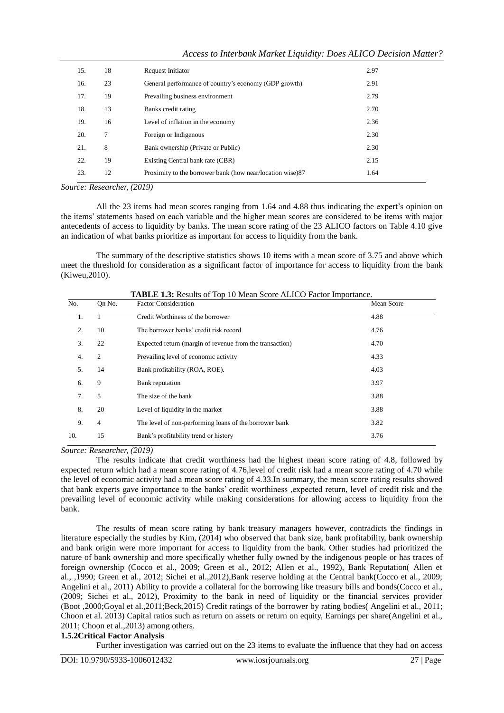| 15. | 18 | Request Initiator                                         | 2.97 |
|-----|----|-----------------------------------------------------------|------|
| 16. | 23 | General performance of country's economy (GDP growth)     | 2.91 |
| 17. | 19 | Prevailing business environment                           | 2.79 |
| 18. | 13 | Banks credit rating                                       | 2.70 |
| 19. | 16 | Level of inflation in the economy                         | 2.36 |
| 20. | 7  | Foreign or Indigenous                                     | 2.30 |
| 21. | 8  | Bank ownership (Private or Public)                        | 2.30 |
| 22. | 19 | Existing Central bank rate (CBR)                          | 2.15 |
| 23. | 12 | Proximity to the borrower bank (how near/location wise)87 | 1.64 |
|     |    |                                                           |      |

|  | Access to Interbank Market Liquidity: Does ALICO Decision Matter? |  |  |
|--|-------------------------------------------------------------------|--|--|
|  |                                                                   |  |  |

*Source: Researcher, (2019)*

All the 23 items had mean scores ranging from 1*.*64 and 4*.*88 thus indicating the expert's opinion on the items' statements based on each variable and the higher mean scores are considered to be items with major antecedents of access to liquidity by banks. The mean score rating of the 23 ALICO factors on Table 4.10 give an indication of what banks prioritize as important for access to liquidity from the bank.

The summary of the descriptive statistics shows 10 items with a mean score of 3.75 and above which meet the threshold for consideration as a significant factor of importance for access to liquidity from the bank (Kiweu,2010).

| No. | On No.         | <b>Factor Consideration</b>                              | Mean Score |
|-----|----------------|----------------------------------------------------------|------------|
| 1.  |                | Credit Worthiness of the borrower                        | 4.88       |
| 2.  | 10             | The borrower banks' credit risk record                   | 4.76       |
| 3.  | 22             | Expected return (margin of revenue from the transaction) | 4.70       |
| 4.  | 2              | Prevailing level of economic activity                    | 4.33       |
| 5.  | 14             | Bank profitability (ROA, ROE).                           | 4.03       |
| 6.  | 9              | Bank reputation                                          | 3.97       |
| 7.  | 5              | The size of the bank                                     | 3.88       |
| 8.  | 20             | Level of liquidity in the market                         | 3.88       |
| 9.  | $\overline{4}$ | The level of non-performing loans of the borrower bank   | 3.82       |
| 10. | 15             | Bank's profitability trend or history                    | 3.76       |

| <b>TABLE 1.3:</b> Results of Top 10 Mean Score ALICO Factor Importance. |  |
|-------------------------------------------------------------------------|--|
|-------------------------------------------------------------------------|--|

*Source: Researcher, (2019)*

The results indicate that credit worthiness had the highest mean score rating of 4*.*8, followed by expected return which had a mean score rating of 4*.*76,level of credit risk had a mean score rating of 4*.*70 while the level of economic activity had a mean score rating of 4*.*33.In summary, the mean score rating results showed that bank experts gave importance to the banks' credit worthiness ,expected return, level of credit risk and the prevailing level of economic activity while making considerations for allowing access to liquidity from the bank.

The results of mean score rating by bank treasury managers however, contradicts the findings in literature especially the studies by Kim, (2014) who observed that bank size, bank profitability, bank ownership and bank origin were more important for access to liquidity from the bank. Other studies had prioritized the nature of bank ownership and more specifically whether fully owned by the indigenous people or has traces of foreign ownership (Cocco et al., 2009; Green et al., 2012; Allen et al., 1992), Bank Reputation( Allen et al., ,1990; Green et al., 2012; Sichei et al.,2012),Bank reserve holding at the Central bank(Cocco et al., 2009; Angelini et al., 2011) Ability to provide a collateral for the borrowing like treasury bills and bonds(Cocco et al., (2009; Sichei et al., 2012), Proximity to the bank in need of liquidity or the financial services provider (Boot ,2000;Goyal et al.,2011;Beck,2015) Credit ratings of the borrower by rating bodies( Angelini et al., 2011; Choon et al. 2013) Capital ratios such as return on assets or return on equity, Earnings per share(Angelini et al., 2011; Choon et al.,2013) among others.

# **1.5.2Critical Factor Analysis**

Further investigation was carried out on the 23 items to evaluate the influence that they had on access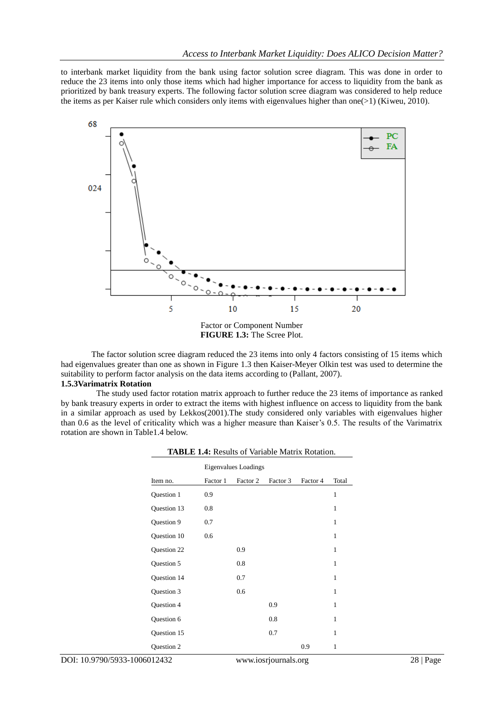to interbank market liquidity from the bank using factor solution scree diagram. This was done in order to reduce the 23 items into only those items which had higher importance for access to liquidity from the bank as prioritized by bank treasury experts. The following factor solution scree diagram was considered to help reduce the items as per Kaiser rule which considers only items with eigenvalues higher than one(>1) (Kiweu, 2010).



The factor solution scree diagram reduced the 23 items into only 4 factors consisting of 15 items which had eigenvalues greater than one as shown in Figure 1.3 then Kaiser-Meyer Olkin test was used to determine the suitability to perform factor analysis on the data items according to (Pallant, 2007).

# **1.5.3Varimatrix Rotation**

The study used factor rotation matrix approach to further reduce the 23 items of importance as ranked by bank treasury experts in order to extract the items with highest influence on access to liquidity from the bank in a similar approach as used by Lekkos(2001).The study considered only variables with eigenvalues higher than 0.6 as the level of criticality which was a higher measure than Kaiser's 0.5. The results of the Varimatrix rotation are shown in Table1.4 below.

| <b>Eigenvalues Loadings</b> |          |          |          |          |              |
|-----------------------------|----------|----------|----------|----------|--------------|
| Item no.                    | Factor 1 | Factor 2 | Factor 3 | Factor 4 | Total        |
| Question 1                  | 0.9      |          |          |          | $\mathbf{1}$ |
| Question 13                 | 0.8      |          |          |          | 1            |
| Question 9                  | 0.7      |          |          |          | 1            |
| Question 10                 | 0.6      |          |          |          | $\mathbf{1}$ |
| Question 22                 |          | 0.9      |          |          | 1            |
| Question 5                  |          | 0.8      |          |          | $\mathbf{1}$ |
| Question 14                 |          | 0.7      |          |          | 1            |
| Question 3                  |          | 0.6      |          |          | $\mathbf{1}$ |
| Question 4                  |          |          | 0.9      |          | 1            |
| Question 6                  |          |          | 0.8      |          | 1            |
| Question 15                 |          |          | 0.7      |          | $\mathbf{1}$ |
| Question 2                  |          |          |          | 0.9      | 1            |

| <b>TABLE 1.4:</b> Results of Variable Matrix Rotation. |  |  |
|--------------------------------------------------------|--|--|
|                                                        |  |  |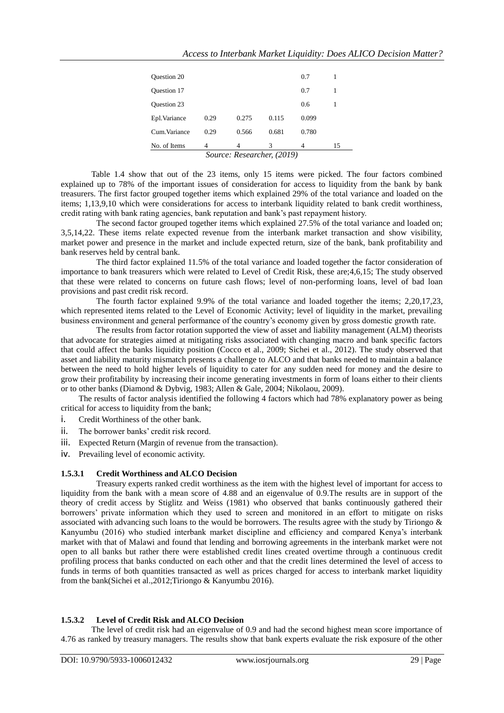| No. of Items       | 4    | 4     | 3     | 4     | 15 |
|--------------------|------|-------|-------|-------|----|
| Cum. Variance      | 0.29 | 0.566 | 0.681 | 0.780 |    |
| Epl. Variance      | 0.29 | 0.275 | 0.115 | 0.099 |    |
| <b>Ouestion 23</b> |      |       |       | 0.6   |    |
| <b>Ouestion 17</b> |      |       |       | 0.7   | 1  |
| <b>Ouestion 20</b> |      |       |       | 0.7   | 1  |

Table 1.4 show that out of the 23 items, only 15 items were picked. The four factors combined explained up to 78% of the important issues of consideration for access to liquidity from the bank by bank treasurers. The first factor grouped together items which explained 29% of the total variance and loaded on the items; 1*,*13*,*9*,*10 which were considerations for access to interbank liquidity related to bank credit worthiness, credit rating with bank rating agencies, bank reputation and bank's past repayment history.

The second factor grouped together items which explained 27*.*5% of the total variance and loaded on; 3*,*5*,*14*,*22. These items relate expected revenue from the interbank market transaction and show visibility, market power and presence in the market and include expected return, size of the bank, bank profitability and bank reserves held by central bank.

The third factor explained 11*.*5% of the total variance and loaded together the factor consideration of importance to bank treasurers which were related to Level of Credit Risk, these are;4*,*6*,*15; The study observed that these were related to concerns on future cash flows; level of non-performing loans, level of bad loan provisions and past credit risk record.

The fourth factor explained 9*.*9% of the total variance and loaded together the items; 2*,*20*,*17*,*23, which represented items related to the Level of Economic Activity; level of liquidity in the market, prevailing business environment and general performance of the country's economy given by gross domestic growth rate.

The results from factor rotation supported the view of asset and liability management (ALM) theorists that advocate for strategies aimed at mitigating risks associated with changing macro and bank specific factors that could affect the banks liquidity position (Cocco et al., 2009; Sichei et al., 2012). The study observed that asset and liability maturity mismatch presents a challenge to ALCO and that banks needed to maintain a balance between the need to hold higher levels of liquidity to cater for any sudden need for money and the desire to grow their profitability by increasing their income generating investments in form of loans either to their clients or to other banks (Diamond & Dybvig, 1983; Allen & Gale, 2004; Nikolaou, 2009).

The results of factor analysis identified the following 4 factors which had 78% explanatory power as being critical for access to liquidity from the bank;

- i. Credit Worthiness of the other bank.
- ii. The borrower banks' credit risk record.
- iii. Expected Return (Margin of revenue from the transaction).
- iv. Prevailing level of economic activity.

# **1.5.3.1 Credit Worthiness and ALCO Decision**

Treasury experts ranked credit worthiness as the item with the highest level of important for access to liquidity from the bank with a mean score of 4.88 and an eigenvalue of 0.9.The results are in support of the theory of credit access by Stiglitz and Weiss (1981) who observed that banks continuously gathered their borrowers' private information which they used to screen and monitored in an effort to mitigate on risks associated with advancing such loans to the would be borrowers. The results agree with the study by Tiriongo & Kanyumbu (2016) who studied interbank market discipline and efficiency and compared Kenya's interbank market with that of Malawi and found that lending and borrowing agreements in the interbank market were not open to all banks but rather there were established credit lines created overtime through a continuous credit profiling process that banks conducted on each other and that the credit lines determined the level of access to funds in terms of both quantities transacted as well as prices charged for access to interbank market liquidity from the bank(Sichei et al.,2012;Tiriongo & Kanyumbu 2016).

# **1.5.3.2 Level of Credit Risk and ALCO Decision**

The level of credit risk had an eigenvalue of 0.9 and had the second highest mean score importance of 4.76 as ranked by treasury managers. The results show that bank experts evaluate the risk exposure of the other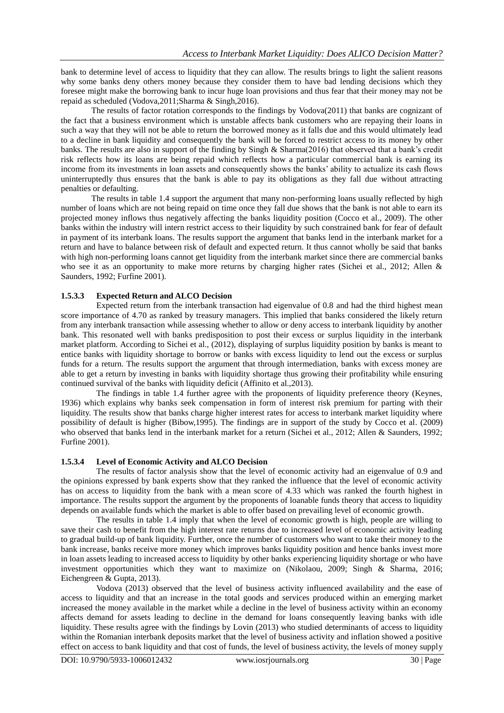bank to determine level of access to liquidity that they can allow. The results brings to light the salient reasons why some banks deny others money because they consider them to have bad lending decisions which they foresee might make the borrowing bank to incur huge loan provisions and thus fear that their money may not be repaid as scheduled (Vodova,2011;Sharma & Singh,2016).

The results of factor rotation corresponds to the findings by Vodova(2011) that banks are cognizant of the fact that a business environment which is unstable affects bank customers who are repaying their loans in such a way that they will not be able to return the borrowed money as it falls due and this would ultimately lead to a decline in bank liquidity and consequently the bank will be forced to restrict access to its money by other banks. The results are also in support of the finding by Singh & Sharma(2016) that observed that a bank's credit risk reflects how its loans are being repaid which reflects how a particular commercial bank is earning its income from its investments in loan assets and consequently shows the banks' ability to actualize its cash flows uninterruptedly thus ensures that the bank is able to pay its obligations as they fall due without attracting penalties or defaulting.

The results in table 1.4 support the argument that many non-performing loans usually reflected by high number of loans which are not being repaid on time once they fall due shows that the bank is not able to earn its projected money inflows thus negatively affecting the banks liquidity position (Cocco et al., 2009). The other banks within the industry will intern restrict access to their liquidity by such constrained bank for fear of default in payment of its interbank loans. The results support the argument that banks lend in the interbank market for a return and have to balance between risk of default and expected return. It thus cannot wholly be said that banks with high non-performing loans cannot get liquidity from the interbank market since there are commercial banks who see it as an opportunity to make more returns by charging higher rates (Sichei et al., 2012; Allen & Saunders, 1992; Furfine 2001).

# **1.5.3.3 Expected Return and ALCO Decision**

Expected return from the interbank transaction had eigenvalue of 0.8 and had the third highest mean score importance of 4.70 as ranked by treasury managers. This implied that banks considered the likely return from any interbank transaction while assessing whether to allow or deny access to interbank liquidity by another bank. This resonated well with banks predisposition to post their excess or surplus liquidity in the interbank market platform. According to Sichei et al., (2012), displaying of surplus liquidity position by banks is meant to entice banks with liquidity shortage to borrow or banks with excess liquidity to lend out the excess or surplus funds for a return. The results support the argument that through intermediation, banks with excess money are able to get a return by investing in banks with liquidity shortage thus growing their profitability while ensuring continued survival of the banks with liquidity deficit (Affinito et al.,2013).

The findings in table 1.4 further agree with the proponents of liquidity preference theory (Keynes, 1936) which explains why banks seek compensation in form of interest risk premium for parting with their liquidity. The results show that banks charge higher interest rates for access to interbank market liquidity where possibility of default is higher (Bibow,1995). The findings are in support of the study by Cocco et al. (2009) who observed that banks lend in the interbank market for a return (Sichei et al., 2012; Allen & Saunders, 1992; Furfine 2001).

# **1.5.3.4 Level of Economic Activity and ALCO Decision**

The results of factor analysis show that the level of economic activity had an eigenvalue of 0.9 and the opinions expressed by bank experts show that they ranked the influence that the level of economic activity has on access to liquidity from the bank with a mean score of 4*.*33 which was ranked the fourth highest in importance. The results support the argument by the proponents of loanable funds theory that access to liquidity depends on available funds which the market is able to offer based on prevailing level of economic growth.

The results in table 1.4 imply that when the level of economic growth is high, people are willing to save their cash to benefit from the high interest rate returns due to increased level of economic activity leading to gradual build-up of bank liquidity. Further, once the number of customers who want to take their money to the bank increase, banks receive more money which improves banks liquidity position and hence banks invest more in loan assets leading to increased access to liquidity by other banks experiencing liquidity shortage or who have investment opportunities which they want to maximize on (Nikolaou, 2009; Singh & Sharma, 2016; Eichengreen & Gupta, 2013).

Vodova (2013) observed that the level of business activity influenced availability and the ease of access to liquidity and that an increase in the total goods and services produced within an emerging market increased the money available in the market while a decline in the level of business activity within an economy affects demand for assets leading to decline in the demand for loans consequently leaving banks with idle liquidity. These results agree with the findings by Lovin (2013) who studied determinants of access to liquidity within the Romanian interbank deposits market that the level of business activity and inflation showed a positive effect on access to bank liquidity and that cost of funds, the level of business activity, the levels of money supply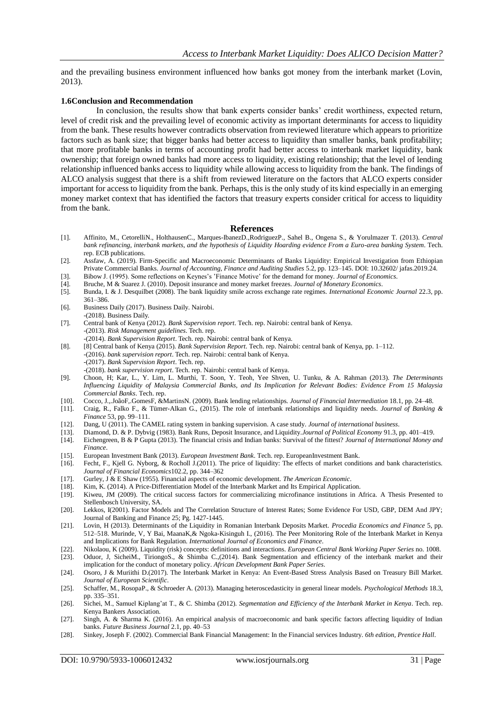and the prevailing business environment influenced how banks got money from the interbank market (Lovin, 2013).

#### **1.6Conclusion and Recommendation**

In conclusion, the results show that bank experts consider banks' credit worthiness, expected return, level of credit risk and the prevailing level of economic activity as important determinants for access to liquidity from the bank. These results however contradicts observation from reviewed literature which appears to prioritize factors such as bank size; that bigger banks had better access to liquidity than smaller banks, bank profitability; that more profitable banks in terms of accounting profit had better access to interbank market liquidity, bank ownership; that foreign owned banks had more access to liquidity, existing relationship; that the level of lending relationship influenced banks access to liquidity while allowing access to liquidity from the bank. The findings of ALCO analysis suggest that there is a shift from reviewed literature on the factors that ALCO experts consider important for access to liquidity from the bank. Perhaps, this is the only study of its kind especially in an emerging money market context that has identified the factors that treasury experts consider critical for access to liquidity from the bank.

#### **References**

- [1]. Affinito, M., CetorelliN., HolthausenC., Marques-IbanezD.,RodriguezP., Sahel B., Ongena S., & Yorulmazer T. (2013). *Central bank refinancing, interbank markets, and the hypothesis of Liquidity Hoarding evidence From a Euro-area banking System*. Tech. rep. ECB publications.
- [2]. Assfaw, A. (2019). Firm-Specific and Macroeconomic Determinants of Banks Liquidity: Empirical Investigation from Ethiopian Private Commercial Banks. *Journal of Accounting, Finance and Auditing Studies* 5.2, pp. 123–145. DOI[: 10.32602/ jafas.2019.24.](http://dx.doi.org/10.32602/jafas.2019.24)
- [3]. Bibow J. (1995). Some reflections on Keynes's 'Finance Motive' for the demand for money. *Journal of Economics*.
- [4]. Bruche, M & Suarez J. (2010). Deposit insurance and money market freezes. *Journal of Monetary Economics*.
- [5]. Bunda, I. & J. Desquilbet (2008). The bank liquidity smile across exchange rate regimes. *International Economic Journal* 22.3, pp. 361–386.
- [6]. Business Daily (2017). Business Daily. Nairobi. -(2018). Business Daily.
- [7]. Central bank of Kenya (2012). *Bank Supervision report*. Tech. rep. Nairobi: central bank of Kenya. -(2013). *Risk Management guidelines*. Tech. rep.
- -(2014). *Bank Supervision Report*. Tech. rep. Nairobi: central bank of Kenya. [8]. [8] Central bank of Kenya (2015). *Bank Supervision Report*. Tech. rep. Nairobi: central bank of Kenya, pp. 1–112. -(2016). *bank supervision report*. Tech. rep. Nairobi: central bank of Kenya. -(2017). *Bank Supervision Report*. Tech. rep.
- -(2018). *bank supervision report*. Tech. rep. Nairobi: central bank of Kenya.
- [9]. Choon, H; Kar, L., Y. Lim, L. Murthi, T. Soon, Y. Teoh, Yee Shven, U. Tunku, & A. Rahman (2013). *The Determinants Influencing Liquidity of Malaysia Commercial Banks, and Its Implication for Relevant Bodies: Evidence From 15 Malaysia Commercial Banks*. Tech. rep.
- [10]. Cocco, J.,.JoãoF,.GomesF, &MartinsN. (2009). Bank lending relationships. *Journal of Financial Intermediation* 18.1, pp. 24–48.
- [11]. Craig, R., Falko F., & Tümer-Alkan G., (2015). The role of interbank relationships and liquidity needs. *Journal of Banking & Finance* 53, pp. 99–111.
- [12]. Dang, U (2011). The CAMEL rating system in banking supervision. A case study. *Journal of international busines[s](http://dx.doi.org/10.1088/1742-6596/949/1/012009)*.
- [13]. Diamond, D. & P. Dybvig (1983). Bank Runs, Deposit Insurance, and Liquidity.*Journal of Political Economy* 91.3, pp. 401–419.
- [14]. Eichengreen, B & P Gupta (2013). The financial crisis and Indian banks: Survival of the fittest? *Journal of International Money and Finance*.
- [15]. European Investment Bank (2013). *European Investment Bank*. Tech. rep. EuropeanInvestment Bank.
- [16]. Fecht, F., Kjell G. Nyborg, & Rocholl J.(2011). The price of liquidity: The effects of market conditions and bank characteristics. *Journal of Financial Economics*102.2, pp. 344–362
- [17]. Gurley, J & E Shaw (1955). Financial aspects of economic development. *The American Economic*.
- Kim, K. (2014). A Price-Differentiation Model of the Interbank Market and Its Empirical Application.
- [19]. Kiweu, JM (2009). The critical success factors for commercializing microfinance institutions in Africa. A Thesis Presented to Stellenbosch University, SA.
- [20]. Lekkos, I(2001). Factor Models and The Correlation Structure of Interest Rates; Some Evidence For USD, GBP, DEM And JPY; Journal of Banking and Finance 25; Pg. 1427-1445.
- [21]. Lovin, H (2013). Determinants of the Liquidity in Romanian Interbank Deposits Market. *Procedia Economics and Finance* 5, pp. 512–518. Murinde, V, Y Bai, MaanaK,& Ngoka-Kisinguh I., (2016). The Peer Monitoring Role of the Interbank Market in Kenya and Implications for Bank Regulation. *International Journal of Economics and Finance*.
- [22]. Nikolaou, K (2009). Liquidity (risk) concepts: definitions and interactions. *European Central Bank Working Paper Series* no. 1008.
- [23]. Oduor, J, SicheiM., TiriongoS., & Shimba C.,(2014). Bank Segmentation and efficiency of the interbank market and their implication for the conduct of monetary policy. *African Development Bank Paper Series*.
- [24]. Osoro, J & Muriithi D.(2017). The Interbank Market in Kenya: An Event-Based Stress Analysis Based on Treasury Bill Market. *Journal of European Scientific*.
- [25]. Schaffer, M., RosopaP., & Schroeder A. (2013). Managing heteroscedasticity in general linear models. *Psychological Methods* 18.3, pp. 335–351.
- [26]. Sichei, M., Samuel Kiplang'at T., & C. Shimba (2012). *Segmentation and Efficiency of the Interbank Market in Kenya*. Tech. rep. Kenya Bankers Association.
- [27]. Singh, A. & Sharma K. (2016). An empirical analysis of macroeconomic and bank specific factors affecting liquidity of Indian banks. *Future Business Journal* 2.1, pp. 40–53
- [28]. Sinkey, Joseph F. (2002). Commercial Bank Financial Management: In the Financial services Industry. *6th edition, Prentice Hall*.